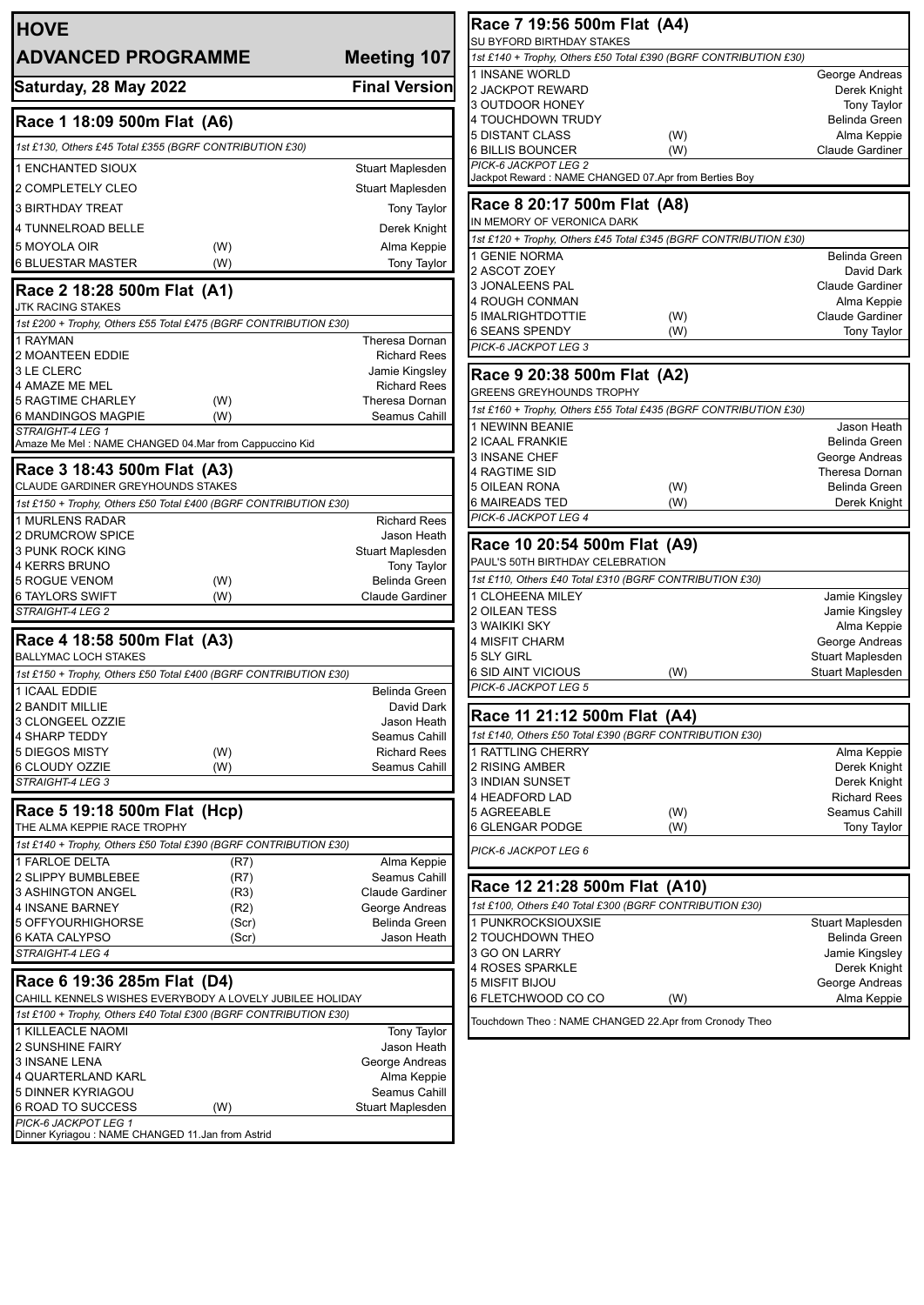| <b>HOVE</b>                                                                             |                                         |  |  |
|-----------------------------------------------------------------------------------------|-----------------------------------------|--|--|
| <b>ADVANCED PROGRAMME</b>                                                               | <b>Meeting 107</b>                      |  |  |
| Saturday, 28 May 2022                                                                   | <b>Final Version</b>                    |  |  |
| Race 1 18:09 500m Flat (A6)                                                             |                                         |  |  |
| 1st £130, Others £45 Total £355 (BGRF CONTRIBUTION £30)                                 |                                         |  |  |
| <b>1 ENCHANTED SIOUX</b>                                                                | Stuart Maplesden                        |  |  |
| 2 COMPLETELY CLEO                                                                       | <b>Stuart Maplesden</b>                 |  |  |
| <b>3 BIRTHDAY TREAT</b>                                                                 | <b>Tony Taylor</b>                      |  |  |
| <b>4 TUNNELROAD BELLE</b>                                                               | Derek Knight                            |  |  |
| 5 MOYOLA OIR<br>(W)<br><b>6 BLUESTAR MASTER</b><br>(W)                                  | Alma Keppie<br><b>Tony Taylor</b>       |  |  |
| Race 2 18:28 500m Flat (A1)                                                             |                                         |  |  |
| JTK RACING STAKES<br>1st £200 + Trophy, Others £55 Total £475 (BGRF CONTRIBUTION £30)   |                                         |  |  |
| 1 RAYMAN                                                                                | Theresa Dornan                          |  |  |
| 2 MOANTEEN EDDIE                                                                        | <b>Richard Rees</b>                     |  |  |
| 3 LE CLERC<br>4 AMAZE ME MEL                                                            | Jamie Kingsley<br><b>Richard Rees</b>   |  |  |
| <b>5 RAGTIME CHARLEY</b><br>(W)                                                         | Theresa Dornan                          |  |  |
| 6 MANDINGOS MAGPIE<br>(W)                                                               | Seamus Cahill                           |  |  |
| <b>STRAIGHT-4 LEG 1</b><br>Amaze Me Mel : NAME CHANGED 04.Mar from Cappuccino Kid       |                                         |  |  |
| Race 3 18:43 500m Flat (A3)                                                             |                                         |  |  |
| CLAUDE GARDINER GREYHOUNDS STAKES                                                       |                                         |  |  |
| 1st £150 + Trophy, Others £50 Total £400 (BGRF CONTRIBUTION £30)<br>1 MURLENS RADAR     | <b>Richard Rees</b>                     |  |  |
| 2 DRUMCROW SPICE                                                                        | Jason Heath                             |  |  |
| 3 PUNK ROCK KING                                                                        | Stuart Maplesden                        |  |  |
| <b>4 KERRS BRUNO</b><br><b>5 ROGUE VENOM</b><br>(W)                                     | Tony Taylor<br>Belinda Green            |  |  |
| 6 TAYLORS SWIFT<br>(W)                                                                  | Claude Gardiner                         |  |  |
| STRAIGHT-4 LEG 2                                                                        |                                         |  |  |
| Race 4 18:58 500m Flat (A3)<br><b>BALLYMAC LOCH STAKES</b>                              |                                         |  |  |
| 1st £150 + Trophy, Others £50 Total £400 (BGRF CONTRIBUTION £30)                        |                                         |  |  |
| 1 ICAAL EDDIE                                                                           | Belinda Green                           |  |  |
| <b>2 BANDIT MILLIE</b><br>3 CLONGEEL OZZIE                                              | David Dark<br>Jason Heath               |  |  |
| <b>4 SHARP TEDDY</b>                                                                    | Seamus Cahill                           |  |  |
| <b>5 DIEGOS MISTY</b><br>(W)                                                            | <b>Richard Rees</b>                     |  |  |
| 6 CLOUDY OZZIE<br>(W)<br>STRAIGHT-4 LEG 3                                               | Seamus Cahill                           |  |  |
| Race 5 19:18 500m Flat (Hcp)                                                            |                                         |  |  |
| THE ALMA KEPPIE RACE TROPHY                                                             |                                         |  |  |
| 1st £140 + Trophy, Others £50 Total £390 (BGRF CONTRIBUTION £30)                        |                                         |  |  |
| 1 FARLOE DELTA<br>(R7)                                                                  | Alma Keppie                             |  |  |
| 2 SLIPPY BUMBLEBEE<br>(R7)<br><b>3 ASHINGTON ANGEL</b><br>(R3)                          | Seamus Cahill<br><b>Claude Gardiner</b> |  |  |
| 4 INSANE BARNEY<br>(R2)                                                                 | George Andreas                          |  |  |
| 5 OFFYOURHIGHORSE<br>(Scr)                                                              | <b>Belinda Green</b>                    |  |  |
| 6 KATA CALYPSO<br>(Scr)<br>STRAIGHT-4 LEG 4                                             | Jason Heath                             |  |  |
|                                                                                         |                                         |  |  |
| Race 6 19:36 285m Flat (D4)<br>CAHILL KENNELS WISHES EVERYBODY A LOVELY JUBILEE HOLIDAY |                                         |  |  |
| 1st £100 + Trophy, Others £40 Total £300 (BGRF CONTRIBUTION £30)                        |                                         |  |  |
| 1 KILLEACLE NAOMI<br>2 SUNSHINE FAIRY                                                   | <b>Tony Taylor</b><br>Jason Heath       |  |  |
| 3 INSANE LENA                                                                           | George Andreas                          |  |  |
| 4 QUARTERLAND KARL                                                                      | Alma Keppie                             |  |  |
| 5 DINNER KYRIAGOU<br>6 ROAD TO SUCCESS                                                  | Seamus Cahill<br>Stuart Maplesden       |  |  |
| (W)<br>PICK-6 JACKPOT LEG 1                                                             |                                         |  |  |
| Dinner Kyriagou : NAME CHANGED 11.Jan from Astrid                                       |                                         |  |  |

| Race 7 19:56 500m Flat (A4)<br>SU BYFORD BIRTHDAY STAKES                                                                                                                                                                                                                                                                                                                                                                                 |                                      |
|------------------------------------------------------------------------------------------------------------------------------------------------------------------------------------------------------------------------------------------------------------------------------------------------------------------------------------------------------------------------------------------------------------------------------------------|--------------------------------------|
| 1st £140 + Trophy, Others £50 Total £390 (BGRF CONTRIBUTION £30)                                                                                                                                                                                                                                                                                                                                                                         |                                      |
| 1 INSANE WORLD                                                                                                                                                                                                                                                                                                                                                                                                                           | George Andreas                       |
| 2 JACKPOT REWARD                                                                                                                                                                                                                                                                                                                                                                                                                         | Derek Knight                         |
| 3 OUTDOOR HONEY                                                                                                                                                                                                                                                                                                                                                                                                                          | <b>Tony Taylor</b>                   |
| 4 TOUCHDOWN TRUDY                                                                                                                                                                                                                                                                                                                                                                                                                        | <b>Belinda Green</b>                 |
| 5 DISTANT CLASS                                                                                                                                                                                                                                                                                                                                                                                                                          | Alma Keppie<br>(W)                   |
| 6 BILLIS BOUNCER                                                                                                                                                                                                                                                                                                                                                                                                                         | (W)<br><b>Claude Gardiner</b>        |
| PICK-6 JACKPOT LEG 2<br>Jackpot Reward : NAME CHANGED 07.Apr from Berties Boy                                                                                                                                                                                                                                                                                                                                                            |                                      |
| Race 8 20:17 500m Flat (A8)                                                                                                                                                                                                                                                                                                                                                                                                              |                                      |
| IN MEMORY OF VERONICA DARK                                                                                                                                                                                                                                                                                                                                                                                                               |                                      |
| 1st £120 + Trophy, Others £45 Total £345 (BGRF CONTRIBUTION £30)                                                                                                                                                                                                                                                                                                                                                                         |                                      |
| 1 GENIE NORMA                                                                                                                                                                                                                                                                                                                                                                                                                            | <b>Belinda Green</b>                 |
| 2 ASCOT ZOEY                                                                                                                                                                                                                                                                                                                                                                                                                             | David Dark                           |
| 3 JONALEENS PAL                                                                                                                                                                                                                                                                                                                                                                                                                          | <b>Claude Gardiner</b>               |
| 4 ROUGH CONMAN                                                                                                                                                                                                                                                                                                                                                                                                                           | Alma Keppie                          |
| 5 IMALRIGHTDOTTIE                                                                                                                                                                                                                                                                                                                                                                                                                        | <b>Claude Gardiner</b><br>(W)        |
| 6 SEANS SPENDY                                                                                                                                                                                                                                                                                                                                                                                                                           | (W)<br><b>Tony Taylor</b>            |
| PICK-6 JACKPOT LEG 3                                                                                                                                                                                                                                                                                                                                                                                                                     |                                      |
| Race 9 20:38 500m Flat (A2)                                                                                                                                                                                                                                                                                                                                                                                                              |                                      |
| <b>GREENS GREYHOUNDS TROPHY</b><br>1st £160 + Trophy, Others £55 Total £435 (BGRF CONTRIBUTION £30)                                                                                                                                                                                                                                                                                                                                      |                                      |
| 1 NEWINN BEANIE                                                                                                                                                                                                                                                                                                                                                                                                                          | Jason Heath                          |
| <b>2 ICAAL FRANKIE</b>                                                                                                                                                                                                                                                                                                                                                                                                                   | <b>Belinda Green</b>                 |
| 3 INSANE CHEF                                                                                                                                                                                                                                                                                                                                                                                                                            | George Andreas                       |
| 4 RAGTIME SID                                                                                                                                                                                                                                                                                                                                                                                                                            | Theresa Dornan                       |
| 5 OILEAN RONA                                                                                                                                                                                                                                                                                                                                                                                                                            | (W)<br><b>Belinda Green</b>          |
| 6 MAIREADS TED                                                                                                                                                                                                                                                                                                                                                                                                                           | (W)<br>Derek Knight                  |
| PICK-6 JACKPOT LEG 4                                                                                                                                                                                                                                                                                                                                                                                                                     |                                      |
|                                                                                                                                                                                                                                                                                                                                                                                                                                          |                                      |
| Race 10 20:54 500m Flat (A9)                                                                                                                                                                                                                                                                                                                                                                                                             |                                      |
|                                                                                                                                                                                                                                                                                                                                                                                                                                          |                                      |
|                                                                                                                                                                                                                                                                                                                                                                                                                                          |                                      |
|                                                                                                                                                                                                                                                                                                                                                                                                                                          |                                      |
|                                                                                                                                                                                                                                                                                                                                                                                                                                          | Jamie Kingsley                       |
|                                                                                                                                                                                                                                                                                                                                                                                                                                          | Jamie Kingsley                       |
|                                                                                                                                                                                                                                                                                                                                                                                                                                          | Alma Keppie                          |
|                                                                                                                                                                                                                                                                                                                                                                                                                                          | George Andreas                       |
|                                                                                                                                                                                                                                                                                                                                                                                                                                          | Stuart Maplesden                     |
|                                                                                                                                                                                                                                                                                                                                                                                                                                          | (W)<br>Stuart Maplesden              |
|                                                                                                                                                                                                                                                                                                                                                                                                                                          |                                      |
|                                                                                                                                                                                                                                                                                                                                                                                                                                          |                                      |
|                                                                                                                                                                                                                                                                                                                                                                                                                                          |                                      |
|                                                                                                                                                                                                                                                                                                                                                                                                                                          | Alma Keppie                          |
|                                                                                                                                                                                                                                                                                                                                                                                                                                          | Derek Knight                         |
|                                                                                                                                                                                                                                                                                                                                                                                                                                          | Derek Knight                         |
|                                                                                                                                                                                                                                                                                                                                                                                                                                          | <b>Richard Rees</b><br>Seamus Cahill |
| PAUL'S 50TH BIRTHDAY CELEBRATION<br>1st £110, Others £40 Total £310 (BGRF CONTRIBUTION £30)<br>1 CLOHEENA MILEY<br>2 OILEAN TESS<br>3 WAIKIKI SKY<br>4 MISFIT CHARM<br>5 SLY GIRL<br>6 SID AINT VICIOUS<br>PICK-6 JACKPOT LEG 5<br>Race 11 21:12 500m Flat (A4)<br>1st £140, Others £50 Total £390 (BGRF CONTRIBUTION £30)<br>1 RATTLING CHERRY<br>2 RISING AMBER<br>3 INDIAN SUNSET<br>4 HEADFORD LAD<br>5 AGREEABLE<br>6 GLENGAR PODGE | (W)<br>(W)<br><b>Tony Taylor</b>     |
| PICK-6 JACKPOT LEG 6                                                                                                                                                                                                                                                                                                                                                                                                                     |                                      |
|                                                                                                                                                                                                                                                                                                                                                                                                                                          |                                      |
|                                                                                                                                                                                                                                                                                                                                                                                                                                          |                                      |
| Race 12 21:28 500m Flat (A10)<br>1st £100, Others £40 Total £300 (BGRF CONTRIBUTION £30)                                                                                                                                                                                                                                                                                                                                                 |                                      |
| 1 PUNKROCKSIOUXSIE                                                                                                                                                                                                                                                                                                                                                                                                                       | Stuart Maplesden                     |
| 2 TOUCHDOWN THEO                                                                                                                                                                                                                                                                                                                                                                                                                         | Belinda Green                        |
| 3 GO ON LARRY                                                                                                                                                                                                                                                                                                                                                                                                                            | Jamie Kingsley                       |
| 4 ROSES SPARKLE                                                                                                                                                                                                                                                                                                                                                                                                                          | Derek Knight                         |
| 5 MISFIT BIJOU<br>6 FLETCHWOOD CO CO                                                                                                                                                                                                                                                                                                                                                                                                     | George Andreas<br>(W)<br>Alma Keppie |
| Touchdown Theo: NAME CHANGED 22.Apr from Cronody Theo                                                                                                                                                                                                                                                                                                                                                                                    |                                      |